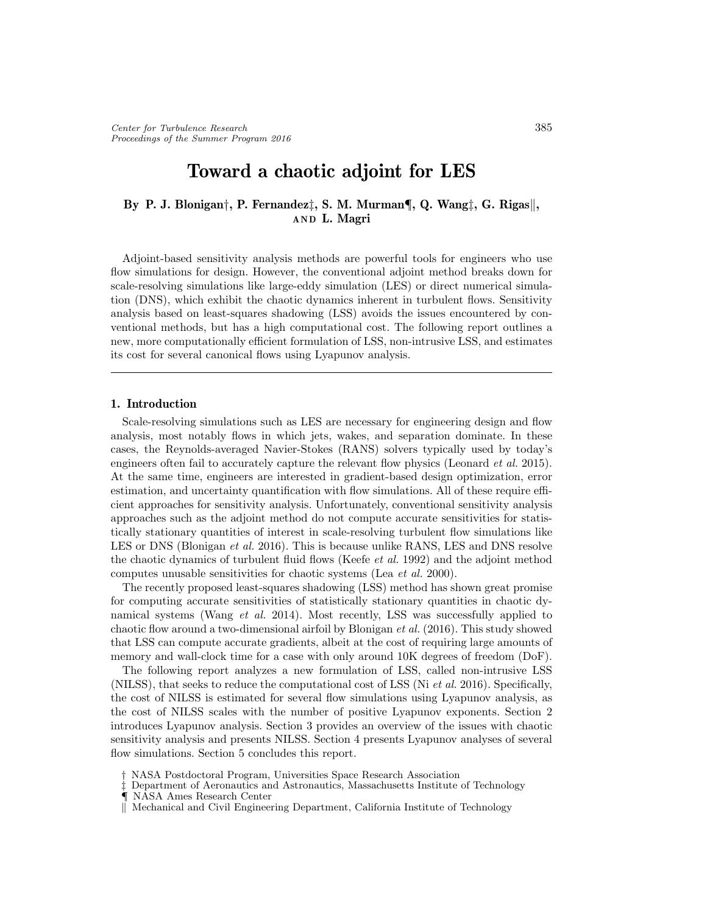# Toward a chaotic adjoint for LES

# By P. J. Blonigan†, P. Fernandez $\ddagger$ , S. M. Murman¶, Q. Wang $\ddagger$ , G. Rigas AND L. Magri

Adjoint-based sensitivity analysis methods are powerful tools for engineers who use flow simulations for design. However, the conventional adjoint method breaks down for scale-resolving simulations like large-eddy simulation (LES) or direct numerical simulation (DNS), which exhibit the chaotic dynamics inherent in turbulent flows. Sensitivity analysis based on least-squares shadowing (LSS) avoids the issues encountered by conventional methods, but has a high computational cost. The following report outlines a new, more computationally efficient formulation of LSS, non-intrusive LSS, and estimates its cost for several canonical flows using Lyapunov analysis.

#### 1. Introduction

Scale-resolving simulations such as LES are necessary for engineering design and flow analysis, most notably flows in which jets, wakes, and separation dominate. In these cases, the Reynolds-averaged Navier-Stokes (RANS) solvers typically used by today's engineers often fail to accurately capture the relevant flow physics (Leonard *et al.* 2015). At the same time, engineers are interested in gradient-based design optimization, error estimation, and uncertainty quantification with flow simulations. All of these require efficient approaches for sensitivity analysis. Unfortunately, conventional sensitivity analysis approaches such as the adjoint method do not compute accurate sensitivities for statistically stationary quantities of interest in scale-resolving turbulent flow simulations like LES or DNS (Blonigan *et al.* 2016). This is because unlike RANS, LES and DNS resolve the chaotic dynamics of turbulent fluid flows (Keefe *et al.* 1992) and the adjoint method computes unusable sensitivities for chaotic systems (Lea et al. 2000).

The recently proposed least-squares shadowing (LSS) method has shown great promise for computing accurate sensitivities of statistically stationary quantities in chaotic dynamical systems (Wang *et al.* 2014). Most recently, LSS was successfully applied to chaotic flow around a two-dimensional airfoil by Blonigan et al. (2016). This study showed that LSS can compute accurate gradients, albeit at the cost of requiring large amounts of memory and wall-clock time for a case with only around 10K degrees of freedom (DoF).

The following report analyzes a new formulation of LSS, called non-intrusive LSS (NILSS), that seeks to reduce the computational cost of LSS (Ni et al. 2016). Specifically, the cost of NILSS is estimated for several flow simulations using Lyapunov analysis, as the cost of NILSS scales with the number of positive Lyapunov exponents. Section 2 introduces Lyapunov analysis. Section 3 provides an overview of the issues with chaotic sensitivity analysis and presents NILSS. Section 4 presents Lyapunov analyses of several flow simulations. Section 5 concludes this report.

<sup>†</sup> NASA Postdoctoral Program, Universities Space Research Association

Department of Aeronautics and Astronautics, Massachusetts Institute of Technology ¶ NASA Ames Research Center

k Mechanical and Civil Engineering Department, California Institute of Technology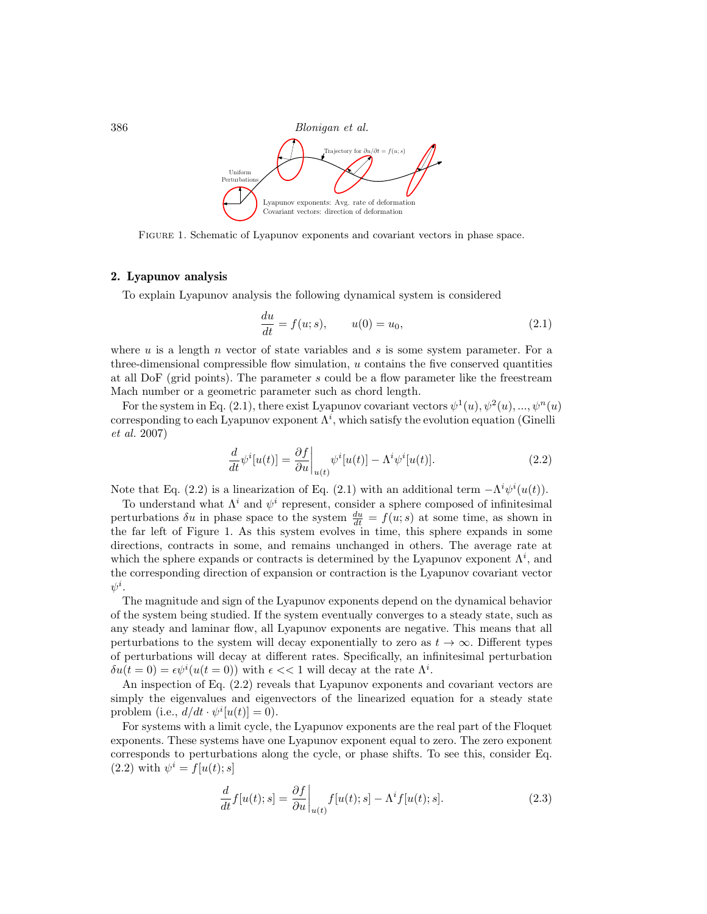

Figure 1. Schematic of Lyapunov exponents and covariant vectors in phase space.

#### 2. Lyapunov analysis

To explain Lyapunov analysis the following dynamical system is considered

$$
\frac{du}{dt} = f(u; s), \qquad u(0) = u_0,\tag{2.1}
$$

where  $u$  is a length  $n$  vector of state variables and  $s$  is some system parameter. For a three-dimensional compressible flow simulation, u contains the five conserved quantities at all DoF (grid points). The parameter s could be a flow parameter like the freestream Mach number or a geometric parameter such as chord length.

For the system in Eq. (2.1), there exist Lyapunov covariant vectors  $\psi^1(u), \psi^2(u), ..., \psi^n(u)$ corresponding to each Lyapunov exponent  $\Lambda^i$ , which satisfy the evolution equation (Ginelli et al. 2007)

$$
\frac{d}{dt}\psi^{i}[u(t)] = \frac{\partial f}{\partial u}\bigg|_{u(t)}\psi^{i}[u(t)] - \Lambda^{i}\psi^{i}[u(t)].
$$
\n(2.2)

Note that Eq. (2.2) is a linearization of Eq. (2.1) with an additional term  $-\Lambda^{i}\psi^{i}(u(t))$ .

To understand what  $\Lambda^i$  and  $\psi^i$  represent, consider a sphere composed of infinitesimal perturbations  $\delta u$  in phase space to the system  $\frac{du}{dt} = f(u; s)$  at some time, as shown in the far left of Figure 1. As this system evolves in time, this sphere expands in some directions, contracts in some, and remains unchanged in others. The average rate at which the sphere expands or contracts is determined by the Lyapunov exponent  $\Lambda^i$ , and the corresponding direction of expansion or contraction is the Lyapunov covariant vector  $\psi^i$ .

The magnitude and sign of the Lyapunov exponents depend on the dynamical behavior of the system being studied. If the system eventually converges to a steady state, such as any steady and laminar flow, all Lyapunov exponents are negative. This means that all perturbations to the system will decay exponentially to zero as  $t \to \infty$ . Different types of perturbations will decay at different rates. Specifically, an infinitesimal perturbation  $\delta u(t=0) = \epsilon \psi^{i}(u(t=0))$  with  $\epsilon \ll 1$  will decay at the rate  $\Lambda^{i}$ .

An inspection of Eq. (2.2) reveals that Lyapunov exponents and covariant vectors are simply the eigenvalues and eigenvectors of the linearized equation for a steady state problem (i.e.,  $d/dt \cdot \psi^{i}[u(t)] = 0$ ).

For systems with a limit cycle, the Lyapunov exponents are the real part of the Floquet exponents. These systems have one Lyapunov exponent equal to zero. The zero exponent corresponds to perturbations along the cycle, or phase shifts. To see this, consider Eq.  $(2.2)$  with  $\psi^i = f[u(t); s]$ 

$$
\frac{d}{dt}f[u(t);s] = \frac{\partial f}{\partial u}\bigg|_{u(t)} f[u(t);s] - \Lambda^i f[u(t);s].\tag{2.3}
$$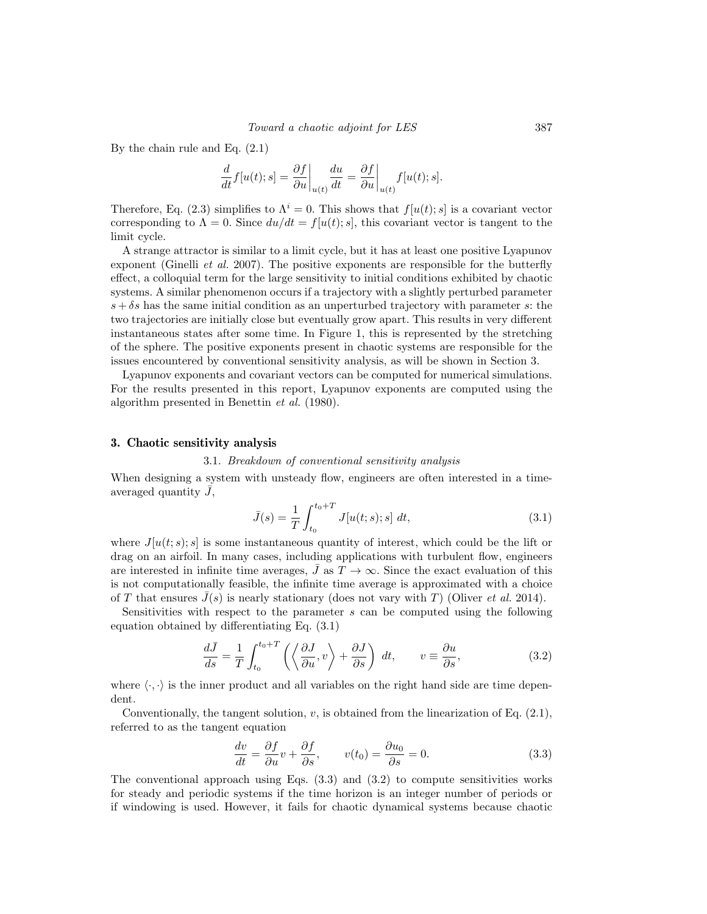By the chain rule and Eq. (2.1)

$$
\frac{d}{dt}f[u(t);s] = \frac{\partial f}{\partial u}\bigg|_{u(t)}\frac{du}{dt} = \frac{\partial f}{\partial u}\bigg|_{u(t)}f[u(t);s].
$$

Therefore, Eq. (2.3) simplifies to  $\Lambda^{i} = 0$ . This shows that  $f[u(t); s]$  is a covariant vector corresponding to  $\Lambda = 0$ . Since  $du/dt = f[u(t); s]$ , this covariant vector is tangent to the limit cycle.

A strange attractor is similar to a limit cycle, but it has at least one positive Lyapunov exponent (Ginelli *et al.* 2007). The positive exponents are responsible for the butterfly effect, a colloquial term for the large sensitivity to initial conditions exhibited by chaotic systems. A similar phenomenon occurs if a trajectory with a slightly perturbed parameter  $s + \delta s$  has the same initial condition as an unperturbed trajectory with parameter s: the two trajectories are initially close but eventually grow apart. This results in very different instantaneous states after some time. In Figure 1, this is represented by the stretching of the sphere. The positive exponents present in chaotic systems are responsible for the issues encountered by conventional sensitivity analysis, as will be shown in Section 3.

Lyapunov exponents and covariant vectors can be computed for numerical simulations. For the results presented in this report, Lyapunov exponents are computed using the algorithm presented in Benettin et al. (1980).

#### 3. Chaotic sensitivity analysis

#### 3.1. Breakdown of conventional sensitivity analysis

When designing a system with unsteady flow, engineers are often interested in a timeaveraged quantity  $\bar{J}$ ,

$$
\bar{J}(s) = \frac{1}{T} \int_{t_0}^{t_0 + T} J[u(t; s); s] dt,
$$
\n(3.1)

where  $J[u(t; s); s]$  is some instantaneous quantity of interest, which could be the lift or drag on an airfoil. In many cases, including applications with turbulent flow, engineers are interested in infinite time averages,  $\bar{J}$  as  $T \to \infty$ . Since the exact evaluation of this is not computationally feasible, the infinite time average is approximated with a choice of T that ensures  $\bar{J}(s)$  is nearly stationary (does not vary with T) (Oliver *et al.* 2014).

Sensitivities with respect to the parameter  $s$  can be computed using the following equation obtained by differentiating Eq. (3.1)

$$
\frac{d\bar{J}}{ds} = \frac{1}{T} \int_{t_0}^{t_0+T} \left( \left\langle \frac{\partial J}{\partial u}, v \right\rangle + \frac{\partial J}{\partial s} \right) dt, \qquad v \equiv \frac{\partial u}{\partial s},\tag{3.2}
$$

where  $\langle \cdot, \cdot \rangle$  is the inner product and all variables on the right hand side are time dependent.

Conventionally, the tangent solution,  $v$ , is obtained from the linearization of Eq.  $(2.1)$ , referred to as the tangent equation

$$
\frac{dv}{dt} = \frac{\partial f}{\partial u}v + \frac{\partial f}{\partial s}, \qquad v(t_0) = \frac{\partial u_0}{\partial s} = 0.
$$
\n(3.3)

The conventional approach using Eqs.  $(3.3)$  and  $(3.2)$  to compute sensitivities works for steady and periodic systems if the time horizon is an integer number of periods or if windowing is used. However, it fails for chaotic dynamical systems because chaotic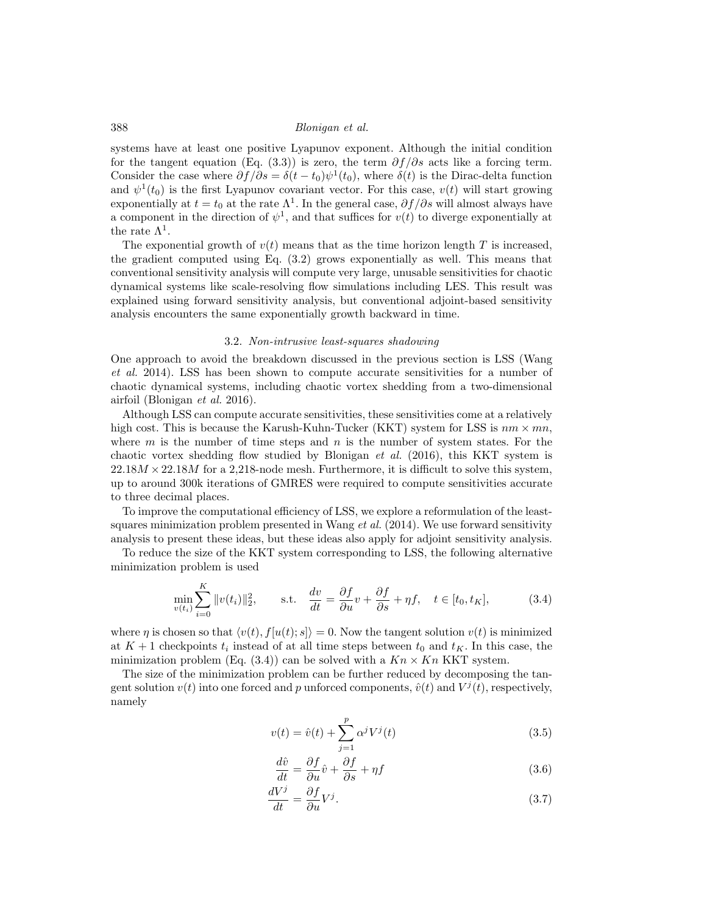systems have at least one positive Lyapunov exponent. Although the initial condition for the tangent equation (Eq. (3.3)) is zero, the term  $\partial f/\partial s$  acts like a forcing term. Consider the case where  $\partial f/\partial s = \delta(t - t_0)\psi^1(t_0)$ , where  $\delta(t)$  is the Dirac-delta function and  $\psi^1(t_0)$  is the first Lyapunov covariant vector. For this case,  $v(t)$  will start growing exponentially at  $t = t_0$  at the rate  $\Lambda^1$ . In the general case,  $\partial f/\partial s$  will almost always have a component in the direction of  $\psi^1$ , and that suffices for  $v(t)$  to diverge exponentially at the rate  $\Lambda^1$ .

The exponential growth of  $v(t)$  means that as the time horizon length T is increased, the gradient computed using Eq. (3.2) grows exponentially as well. This means that conventional sensitivity analysis will compute very large, unusable sensitivities for chaotic dynamical systems like scale-resolving flow simulations including LES. This result was explained using forward sensitivity analysis, but conventional adjoint-based sensitivity analysis encounters the same exponentially growth backward in time.

#### 3.2. Non-intrusive least-squares shadowing

One approach to avoid the breakdown discussed in the previous section is LSS (Wang et al. 2014). LSS has been shown to compute accurate sensitivities for a number of chaotic dynamical systems, including chaotic vortex shedding from a two-dimensional airfoil (Blonigan et al. 2016).

Although LSS can compute accurate sensitivities, these sensitivities come at a relatively high cost. This is because the Karush-Kuhn-Tucker (KKT) system for LSS is  $nm \times mn$ , where  $m$  is the number of time steps and  $n$  is the number of system states. For the chaotic vortex shedding flow studied by Blonigan et al. (2016), this KKT system is  $22.18M \times 22.18M$  for a 2,218-node mesh. Furthermore, it is difficult to solve this system, up to around 300k iterations of GMRES were required to compute sensitivities accurate to three decimal places.

To improve the computational efficiency of LSS, we explore a reformulation of the leastsquares minimization problem presented in Wang  $et al.$  (2014). We use forward sensitivity analysis to present these ideas, but these ideas also apply for adjoint sensitivity analysis.

To reduce the size of the KKT system corresponding to LSS, the following alternative minimization problem is used

$$
\min_{v(t_i)} \sum_{i=0}^{K} \|v(t_i)\|_2^2, \qquad \text{s.t.} \quad \frac{dv}{dt} = \frac{\partial f}{\partial u}v + \frac{\partial f}{\partial s} + \eta f, \quad t \in [t_0, t_K], \tag{3.4}
$$

where  $\eta$  is chosen so that  $\langle v(t), f[u(t); s] \rangle = 0$ . Now the tangent solution  $v(t)$  is minimized at  $K+1$  checkpoints  $t_i$  instead of at all time steps between  $t_0$  and  $t_K$ . In this case, the minimization problem (Eq. (3.4)) can be solved with a  $Kn \times Kn$  KKT system.

The size of the minimization problem can be further reduced by decomposing the tangent solution  $v(t)$  into one forced and p unforced components,  $\hat{v}(t)$  and  $V^{j}(t)$ , respectively, namely

$$
v(t) = \hat{v}(t) + \sum_{j=1}^{p} \alpha^{j} V^{j}(t)
$$
\n(3.5)

$$
\frac{d\hat{v}}{dt} = \frac{\partial f}{\partial u}\hat{v} + \frac{\partial f}{\partial s} + \eta f \tag{3.6}
$$

$$
\frac{dV^j}{dt} = \frac{\partial f}{\partial u} V^j. \tag{3.7}
$$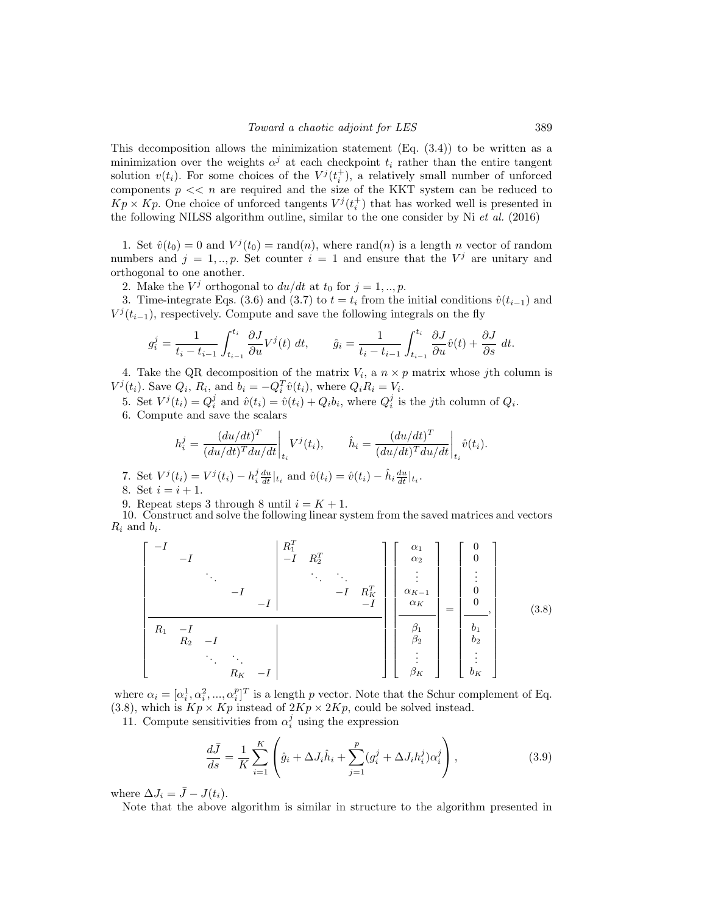This decomposition allows the minimization statement (Eq. (3.4)) to be written as a minimization over the weights  $\alpha^{j}$  at each checkpoint  $t_{i}$  rather than the entire tangent solution  $v(t_i)$ . For some choices of the  $V^j(t_i^+)$ , a relatively small number of unforced components  $p \ll n$  are required and the size of the KKT system can be reduced to  $Kp \times Kp$ . One choice of unforced tangents  $V^{j}(t_i^{+})$  that has worked well is presented in the following NILSS algorithm outline, similar to the one consider by  $Ni$  *et al.* (2016)

1. Set  $\hat{v}(t_0) = 0$  and  $V^j(t_0) = \text{rand}(n)$ , where  $\text{rand}(n)$  is a length n vector of random numbers and  $j = 1, ..., p$ . Set counter  $i = 1$  and ensure that the  $V^j$  are unitary and orthogonal to one another.

2. Make the  $V^j$  orthogonal to  $du/dt$  at  $t_0$  for  $j = 1, ..., p$ .

3. Time-integrate Eqs. (3.6) and (3.7) to  $t = t_i$  from the initial conditions  $\hat{v}(t_{i-1})$  and  $V^j(t_{i-1})$ , respectively. Compute and save the following integrals on the fly

$$
g_i^j = \frac{1}{t_i - t_{i-1}} \int_{t_{i-1}}^{t_i} \frac{\partial J}{\partial u} V^j(t) dt, \qquad \hat{g}_i = \frac{1}{t_i - t_{i-1}} \int_{t_{i-1}}^{t_i} \frac{\partial J}{\partial u} \hat{v}(t) + \frac{\partial J}{\partial s} dt.
$$

4. Take the QR decomposition of the matrix  $V_i$ , a  $n \times p$  matrix whose jth column is  $V^j(t_i)$ . Save  $Q_i$ ,  $R_i$ , and  $b_i = -Q_i^T \hat{v}(t_i)$ , where  $Q_i R_i = V_i$ .

5. Set  $V^j(t_i) = Q_i^j$  and  $\hat{v}(t_i) = \hat{v}(t_i) + Q_i b_i$ , where  $Q_i^j$  is the *j*th column of  $Q_i$ .

6. Compute and save the scalars

$$
h_i^j = \frac{(du/dt)^T}{(du/dt)^T du/dt} \bigg|_{t_i} V^j(t_i), \qquad \hat{h}_i = \frac{(du/dt)^T}{(du/dt)^T du/dt} \bigg|_{t_i} \hat{v}(t_i).
$$

7. Set 
$$
V^{j}(t_i) = V^{j}(t_i) - h^{j}_{i} \frac{du}{dt} |_{t_i}
$$
 and  $\hat{v}(t_i) = \hat{v}(t_i) - \hat{h}_{i} \frac{du}{dt} |_{t_i}$ .  
8. Set  $i = i + 1$ .

9. Repeat steps 3 through 8 until  $i = K + 1$ .

10. Construct and solve the following linear system from the saved matrices and vectors  $R_i$  and  $b_i$ .

$$
\begin{bmatrix}\n-I & & & & R_1^T & & & & \\
& -I & & & & -I & & & \\
& & \ddots & & & & & & \\
& & & -I & & & & & \\
& & & & -I & & & & \\
& & & & & -I & & & \\
\hline\nR_1 & -I & & & & & & \\
R_2 & -I & & & & & & \\
& & & \ddots & \ddots & & \\
& & & & & & & & \\
R_K & -I & & & & & & \\
\end{bmatrix}\n\begin{bmatrix}\n\alpha_1 \\
\alpha_2 \\
\vdots \\
\alpha_{K-1} \\
\alpha_K \\
\alpha_K \\
\beta_2 \\
\beta_K\n\end{bmatrix} = \n\begin{bmatrix}\n0 \\
0 \\
\vdots \\
0 \\
0 \\
b_1 \\
b_2 \\
\beta_K\n\end{bmatrix}
$$
\n(3.8)

where  $\alpha_i = [\alpha_i^1, \alpha_i^2, ..., \alpha_i^p]^T$  is a length p vector. Note that the Schur complement of Eq. (3.8), which is  $Kp \times Kp$  instead of  $2Kp \times 2Kp$ , could be solved instead.

11. Compute sensitivities from  $\alpha_i^j$  using the expression

$$
\frac{d\bar{J}}{ds} = \frac{1}{K} \sum_{i=1}^{K} \left( \hat{g}_i + \Delta J_i \hat{h}_i + \sum_{j=1}^{p} (g_i^j + \Delta J_i h_i^j) \alpha_i^j \right),
$$
\n(3.9)

where  $\Delta J_i = \bar{J} - J(t_i)$ .

Note that the above algorithm is similar in structure to the algorithm presented in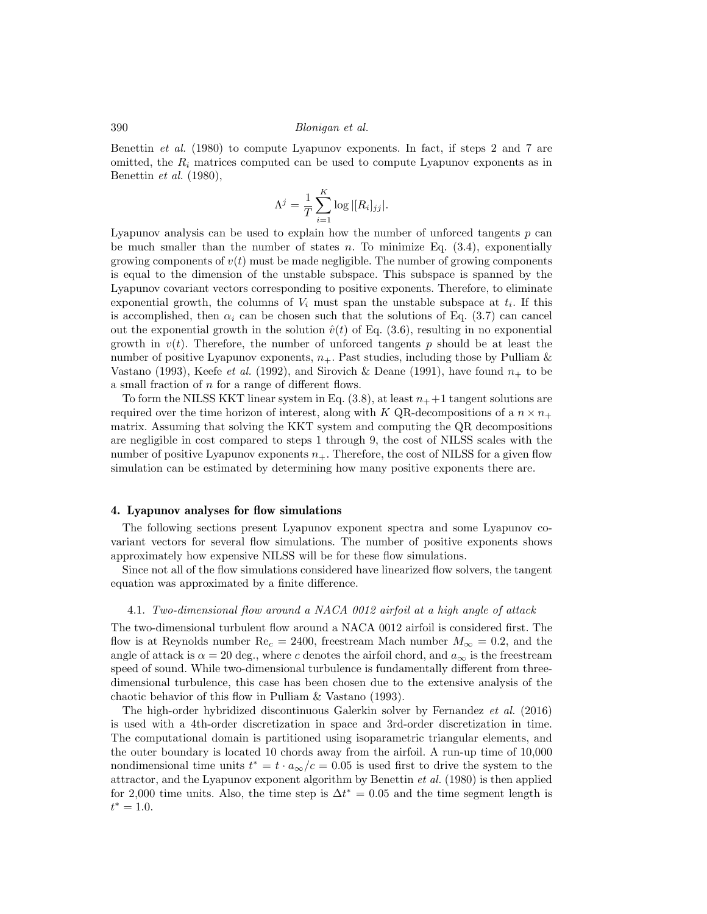Benettin *et al.* (1980) to compute Lyapunov exponents. In fact, if steps 2 and 7 are omitted, the  $R_i$  matrices computed can be used to compute Lyapunov exponents as in Benettin et al. (1980),

$$
\Lambda^j = \frac{1}{T} \sum_{i=1}^K \log |[R_i]_{jj}|.
$$

Lyapunov analysis can be used to explain how the number of unforced tangents  $p$  can be much smaller than the number of states n. To minimize Eq.  $(3.4)$ , exponentially growing components of  $v(t)$  must be made negligible. The number of growing components is equal to the dimension of the unstable subspace. This subspace is spanned by the Lyapunov covariant vectors corresponding to positive exponents. Therefore, to eliminate exponential growth, the columns of  $V_i$  must span the unstable subspace at  $t_i$ . If this is accomplished, then  $\alpha_i$  can be chosen such that the solutions of Eq. (3.7) can cancel out the exponential growth in the solution  $\hat{v}(t)$  of Eq. (3.6), resulting in no exponential growth in  $v(t)$ . Therefore, the number of unforced tangents p should be at least the number of positive Lyapunov exponents,  $n_{+}$ . Past studies, including those by Pulliam & Vastano (1993), Keefe *et al.* (1992), and Sirovich & Deane (1991), have found  $n_+$  to be a small fraction of n for a range of different flows.

To form the NILSS KKT linear system in Eq.  $(3.8)$ , at least  $n_{+}+1$  tangent solutions are required over the time horizon of interest, along with K QR-decompositions of a  $n \times n_+$ matrix. Assuming that solving the KKT system and computing the QR decompositions are negligible in cost compared to steps 1 through 9, the cost of NILSS scales with the number of positive Lyapunov exponents  $n_{+}$ . Therefore, the cost of NILSS for a given flow simulation can be estimated by determining how many positive exponents there are.

#### 4. Lyapunov analyses for flow simulations

The following sections present Lyapunov exponent spectra and some Lyapunov covariant vectors for several flow simulations. The number of positive exponents shows approximately how expensive NILSS will be for these flow simulations.

Since not all of the flow simulations considered have linearized flow solvers, the tangent equation was approximated by a finite difference.

## 4.1. Two-dimensional flow around a NACA 0012 airfoil at a high angle of attack

The two-dimensional turbulent flow around a NACA 0012 airfoil is considered first. The flow is at Reynolds number  $\text{Re}_c = 2400$ , freestream Mach number  $M_{\infty} = 0.2$ , and the angle of attack is  $\alpha = 20$  deg., where c denotes the airfoil chord, and  $a_{\infty}$  is the freestream speed of sound. While two-dimensional turbulence is fundamentally different from threedimensional turbulence, this case has been chosen due to the extensive analysis of the chaotic behavior of this flow in Pulliam & Vastano (1993).

The high-order hybridized discontinuous Galerkin solver by Fernandez et al. (2016) is used with a 4th-order discretization in space and 3rd-order discretization in time. The computational domain is partitioned using isoparametric triangular elements, and the outer boundary is located 10 chords away from the airfoil. A run-up time of 10,000 nondimensional time units  $t^* = t \cdot a_\infty/c = 0.05$  is used first to drive the system to the attractor, and the Lyapunov exponent algorithm by Benettin et al. (1980) is then applied for 2,000 time units. Also, the time step is  $\Delta t^* = 0.05$  and the time segment length is  $t^* = 1.0$ .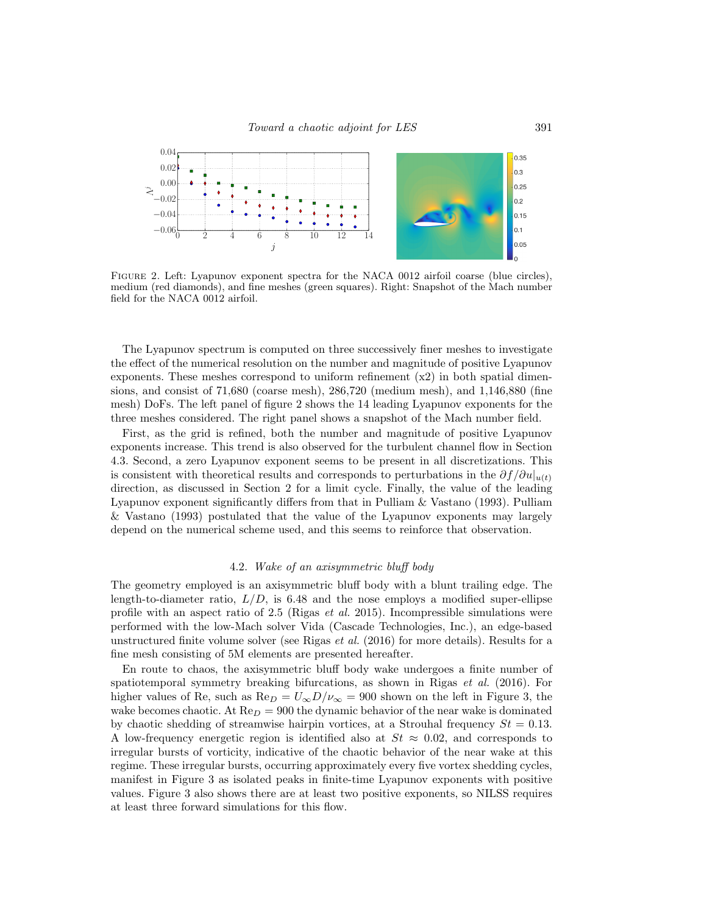

Figure 2. Left: Lyapunov exponent spectra for the NACA 0012 airfoil coarse (blue circles), medium (red diamonds), and fine meshes (green squares). Right: Snapshot of the Mach number field for the NACA 0012 airfoil.

The Lyapunov spectrum is computed on three successively finer meshes to investigate the effect of the numerical resolution on the number and magnitude of positive Lyapunov exponents. These meshes correspond to uniform refinement  $(x2)$  in both spatial dimensions, and consist of 71,680 (coarse mesh), 286,720 (medium mesh), and 1,146,880 (fine mesh) DoFs. The left panel of figure 2 shows the 14 leading Lyapunov exponents for the three meshes considered. The right panel shows a snapshot of the Mach number field.

First, as the grid is refined, both the number and magnitude of positive Lyapunov exponents increase. This trend is also observed for the turbulent channel flow in Section 4.3. Second, a zero Lyapunov exponent seems to be present in all discretizations. This is consistent with theoretical results and corresponds to perturbations in the  $\partial f / \partial u|_{u(t)}$ direction, as discussed in Section 2 for a limit cycle. Finally, the value of the leading Lyapunov exponent significantly differs from that in Pulliam & Vastano (1993). Pulliam & Vastano (1993) postulated that the value of the Lyapunov exponents may largely depend on the numerical scheme used, and this seems to reinforce that observation.

## 4.2. Wake of an axisymmetric bluff body

The geometry employed is an axisymmetric bluff body with a blunt trailing edge. The length-to-diameter ratio,  $L/D$ , is 6.48 and the nose employs a modified super-ellipse profile with an aspect ratio of 2.5 (Rigas et al. 2015). Incompressible simulations were performed with the low-Mach solver Vida (Cascade Technologies, Inc.), an edge-based unstructured finite volume solver (see Rigas  $et al.$  (2016) for more details). Results for a fine mesh consisting of 5M elements are presented hereafter.

En route to chaos, the axisymmetric bluff body wake undergoes a finite number of spatiotemporal symmetry breaking bifurcations, as shown in Rigas  $et \ al.$  (2016). For higher values of Re, such as  $\text{Re}_D = U_{\infty}D/\nu_{\infty} = 900$  shown on the left in Figure 3, the wake becomes chaotic. At  $\text{Re}_D = 900$  the dynamic behavior of the near wake is dominated by chaotic shedding of streamwise hairpin vortices, at a Strouhal frequency  $St = 0.13$ . A low-frequency energetic region is identified also at  $St \approx 0.02$ , and corresponds to irregular bursts of vorticity, indicative of the chaotic behavior of the near wake at this regime. These irregular bursts, occurring approximately every five vortex shedding cycles, manifest in Figure 3 as isolated peaks in finite-time Lyapunov exponents with positive values. Figure 3 also shows there are at least two positive exponents, so NILSS requires at least three forward simulations for this flow.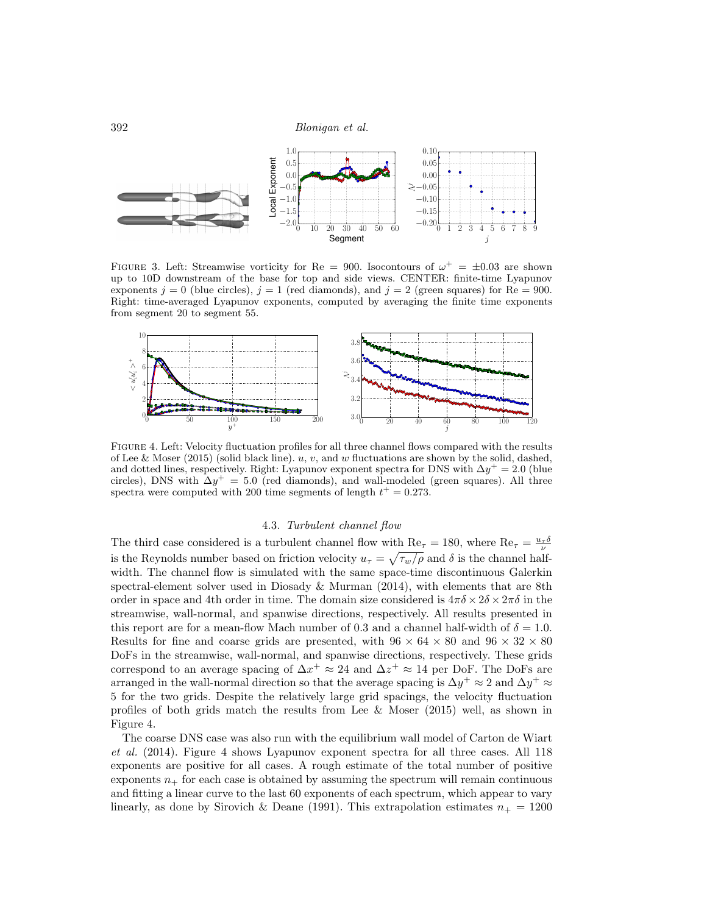

FIGURE 3. Left: Streamwise vorticity for Re = 900. Isocontours of  $\omega^+ = \pm 0.03$  are shown up to 10D downstream of the base for top and side views. CENTER: finite-time Lyapunov exponents  $j = 0$  (blue circles),  $j = 1$  (red diamonds), and  $j = 2$  (green squares) for Re = 900. Right: time-averaged Lyapunov exponents, computed by averaging the finite time exponents from segment 20 to segment 55.



Figure 4. Left: Velocity fluctuation profiles for all three channel flows compared with the results of Lee & Moser (2015) (solid black line).  $u, v$ , and w fluctuations are shown by the solid, dashed, and dotted lines, respectively. Right: Lyapunov exponent spectra for DNS with  $\Delta y^+=2.0$  (blue circles), DNS with  $\Delta y^+=5.0$  (red diamonds), and wall-modeled (green squares). All three spectra were computed with 200 time segments of length  $t^+ = 0.273$ .

#### 4.3. Turbulent channel flow

The third case considered is a turbulent channel flow with  $\text{Re}_{\tau} = 180$ , where  $\text{Re}_{\tau} = \frac{u_{\tau} \delta}{\nu}$ is the Reynolds number based on friction velocity  $u_{\tau} = \sqrt{\tau_w/\rho}$  and  $\delta$  is the channel halfwidth. The channel flow is simulated with the same space-time discontinuous Galerkin spectral-element solver used in Diosady & Murman (2014), with elements that are 8th order in space and 4th order in time. The domain size considered is  $4\pi\delta \times 2\delta \times 2\pi\delta$  in the streamwise, wall-normal, and spanwise directions, respectively. All results presented in this report are for a mean-flow Mach number of 0.3 and a channel half-width of  $\delta = 1.0$ . Results for fine and coarse grids are presented, with  $96 \times 64 \times 80$  and  $96 \times 32 \times 80$ DoFs in the streamwise, wall-normal, and spanwise directions, respectively. These grids correspond to an average spacing of  $\Delta x^+ \approx 24$  and  $\Delta z^+ \approx 14$  per DoF. The DoFs are arranged in the wall-normal direction so that the average spacing is  $\Delta y^+ \approx 2$  and  $\Delta y^+ \approx 2$ 5 for the two grids. Despite the relatively large grid spacings, the velocity fluctuation profiles of both grids match the results from Lee & Moser (2015) well, as shown in Figure 4.

The coarse DNS case was also run with the equilibrium wall model of Carton de Wiart et al. (2014). Figure 4 shows Lyapunov exponent spectra for all three cases. All 118 exponents are positive for all cases. A rough estimate of the total number of positive exponents  $n_{+}$  for each case is obtained by assuming the spectrum will remain continuous and fitting a linear curve to the last 60 exponents of each spectrum, which appear to vary linearly, as done by Sirovich & Deane (1991). This extrapolation estimates  $n_+ = 1200$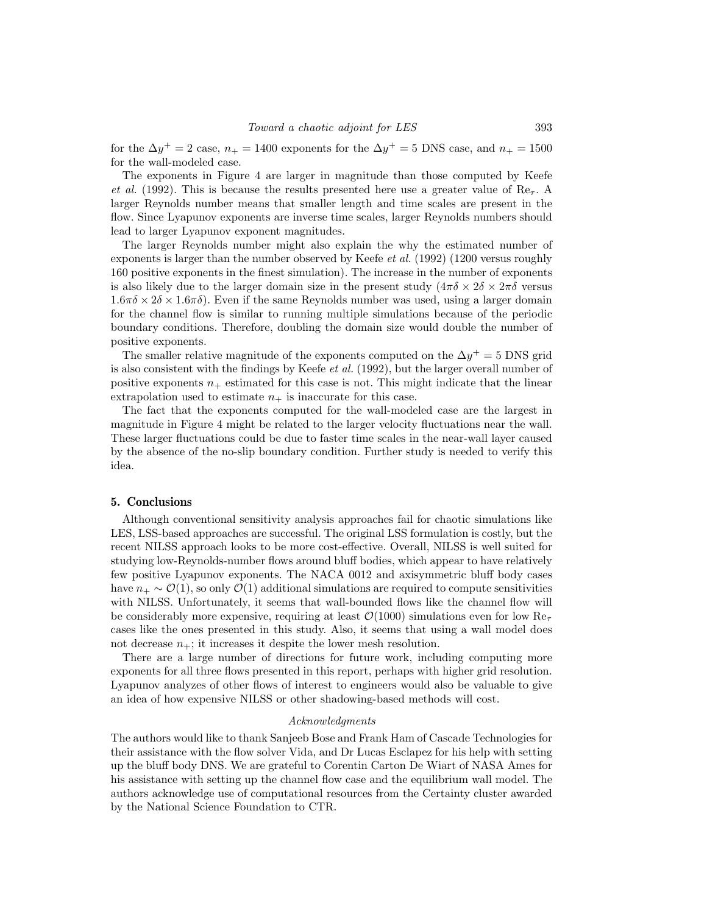for the  $\Delta y^+ = 2$  case,  $n_+ = 1400$  exponents for the  $\Delta y^+ = 5$  DNS case, and  $n_+ = 1500$ for the wall-modeled case.

The exponents in Figure 4 are larger in magnitude than those computed by Keefe et al. (1992). This is because the results presented here use a greater value of  $\text{Re}_{\tau}$ . A larger Reynolds number means that smaller length and time scales are present in the flow. Since Lyapunov exponents are inverse time scales, larger Reynolds numbers should lead to larger Lyapunov exponent magnitudes.

The larger Reynolds number might also explain the why the estimated number of exponents is larger than the number observed by Keefe *et al.* (1992) (1200 versus roughly 160 positive exponents in the finest simulation). The increase in the number of exponents is also likely due to the larger domain size in the present study  $(4\pi\delta \times 2\delta \times 2\pi\delta)$  versus  $1.6\pi\delta \times 2\delta \times 1.6\pi\delta$ . Even if the same Reynolds number was used, using a larger domain for the channel flow is similar to running multiple simulations because of the periodic boundary conditions. Therefore, doubling the domain size would double the number of positive exponents.

The smaller relative magnitude of the exponents computed on the  $\Delta y^+=5$  DNS grid is also consistent with the findings by Keefe *et al.* (1992), but the larger overall number of positive exponents  $n_+$  estimated for this case is not. This might indicate that the linear extrapolation used to estimate  $n_+$  is inaccurate for this case.

The fact that the exponents computed for the wall-modeled case are the largest in magnitude in Figure 4 might be related to the larger velocity fluctuations near the wall. These larger fluctuations could be due to faster time scales in the near-wall layer caused by the absence of the no-slip boundary condition. Further study is needed to verify this idea.

#### 5. Conclusions

Although conventional sensitivity analysis approaches fail for chaotic simulations like LES, LSS-based approaches are successful. The original LSS formulation is costly, but the recent NILSS approach looks to be more cost-effective. Overall, NILSS is well suited for studying low-Reynolds-number flows around bluff bodies, which appear to have relatively few positive Lyapunov exponents. The NACA 0012 and axisymmetric bluff body cases have  $n_+ \sim \mathcal{O}(1)$ , so only  $\mathcal{O}(1)$  additional simulations are required to compute sensitivities with NILSS. Unfortunately, it seems that wall-bounded flows like the channel flow will be considerably more expensive, requiring at least  $\mathcal{O}(1000)$  simulations even for low Re<sub>T</sub> cases like the ones presented in this study. Also, it seems that using a wall model does not decrease  $n_{+}$ ; it increases it despite the lower mesh resolution.

There are a large number of directions for future work, including computing more exponents for all three flows presented in this report, perhaps with higher grid resolution. Lyapunov analyzes of other flows of interest to engineers would also be valuable to give an idea of how expensive NILSS or other shadowing-based methods will cost.

#### Acknowledgments

The authors would like to thank Sanjeeb Bose and Frank Ham of Cascade Technologies for their assistance with the flow solver Vida, and Dr Lucas Esclapez for his help with setting up the bluff body DNS. We are grateful to Corentin Carton De Wiart of NASA Ames for his assistance with setting up the channel flow case and the equilibrium wall model. The authors acknowledge use of computational resources from the Certainty cluster awarded by the National Science Foundation to CTR.